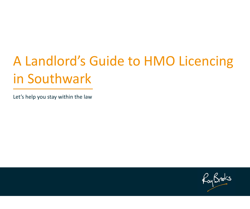# A Landlord's Guide to HMO Licencing in Southwark

Let's help you stay within the law

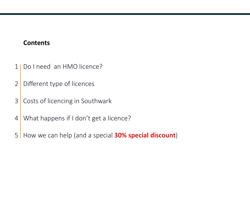#### **Contents**

- 1 | Do I need an HMO licence?
- 2 Different type of licences
- 3 Costs of licencing in Southwark
- 4 What happens if I don't get a licence?
- 5 How we can help (and a special **30% special discount**)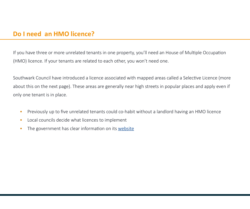If you have three or more unrelated tenants in one property, you'll need an House of Multiple Occupation (HMO) licence. If your tenants are related to each other, you won't need one.

Southwark Council have introduced a licence associated with mapped areas called a Selective Licence (more about this on the next page). These areas are generally near high streets in popular places and apply even if only one tenant is in place.

- Previously up to five unrelated tenants could co-habit without a landlord having an HMO licence
- Local councils decide what licences to implement
- The government has clear information on its [website](https://www.gov.uk/house-in-multiple-occupation-licence)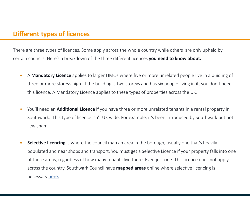#### **Different types of licences**

There are three types of licences. Some apply across the whole country while others are only upheld by certain councils. Here's a breakdown of the three different licences **you need to know about.**

- A **Mandatory Licence** applies to larger HMOs where five or more unrelated people live in a buidling of three or more storeys high. If the building is two storeys and has six people living in it, you don't need this licence. A Mandatory Licence applies to these types of properties across the UK.
- You'll need an **Additional Licence** if you have three or more unrelated tenants in a rental property in Southwark. This type of licence isn't UK wide. For example, it's been introduced by Southwark but not Lewisham.
- **• Selective licencing** is where the council map an area in the borough, usually one that's heavily populated and near shops and transport. You must get a Selective Licence if your property falls into one of these areas, regardless of how many tenants live there. Even just one. This licence does not apply across the country. Southwark Council have **mapped areas** online where selective licencing is necessary [here.](https://www.southwark.gov.uk/home-owners-services/private-home-owners-and-landlords/property-licensing?chapter=3)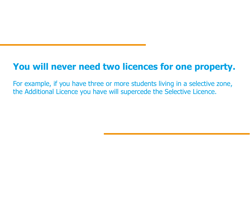# **You will never need two licences for one property.**

For example, if you have three or more students living in a selective zone, the Additional Licence you have will supercede the Selective Licence.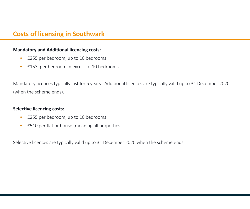### **Costs of licensing in Southwark**

#### **Mandatory and Additional licencing costs:**

- £255 per bedroom, up to 10 bedrooms
- £153 per bedroom in excess of 10 bedrooms.

Mandatory licences typically last for 5 years. Additional licences are typically valid up to 31 December 2020 (when the scheme ends).

#### **Selective licencing costs:**

- £255 per bedroom, up to 10 bedrooms
- £510 per flat or house (meaning all properties).

Selective licences are typically valid up to 31 December 2020 when the scheme ends.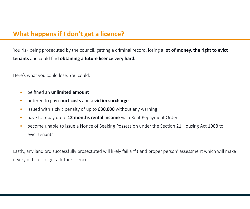## **What happens if I don't get a licence?**

You risk being prosecuted by the council, getting a criminal record, losing a **lot of money, the right to evict tenants** and could find **obtaining a future licence very hard.**

Here's what you could lose. You could:

- be fined an **unlimited amount**
- ordered to pay **court costs** and a **victim surcharge**
- issued with a civic penalty of up to **£30,000** without any warning
- have to repay up to **12 months rental income** via a Rent Repayment Order
- become unable to issue a Notice of Seeking Possession under the Section 21 Housing Act 1988 to evict tenants

Lastly, any landlord successfully prosectuted will likely fail a 'fit and proper person' assessment which will make it very difficult to get a future licence.